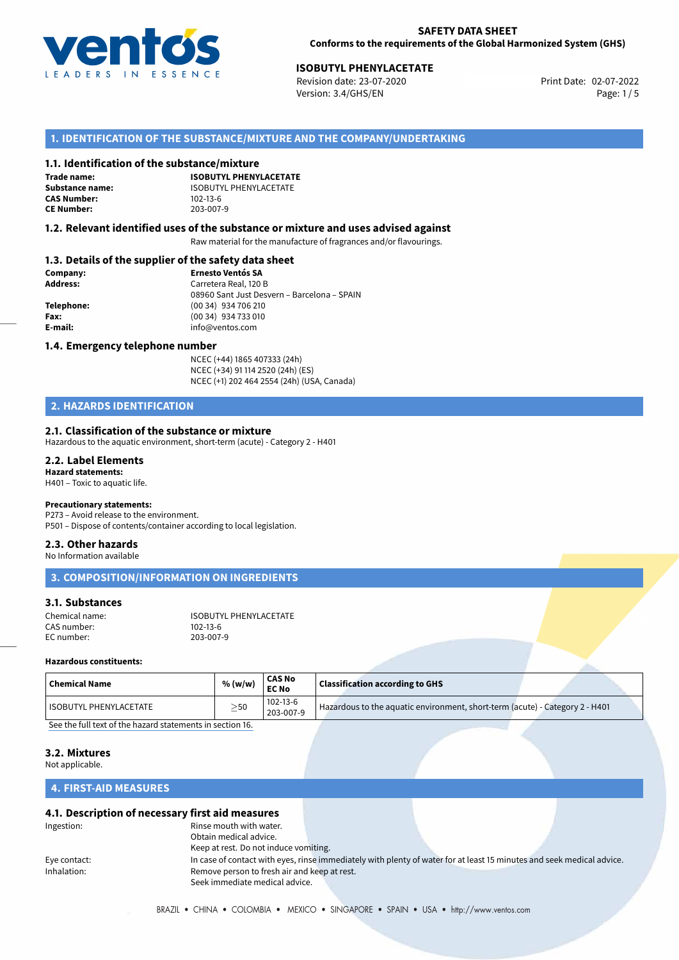

# **ISOBUTYL PHENYLACETATE**<br>
Revision date: 23-07-2020<br> **ISOBUTYL PHENYLACETATE**

Revision date: 23-07-2020 Version: 3.4/GHS/EN Page: 1 / 5

# **1. IDENTIFICATION OF THE SUBSTANCE/MIXTURE AND THE COMPANY/UNDERTAKING**

#### **1.1. Identification of the substance/mixture**

**Trade name: CAS Number: CE Number:** 203-007-9

**ISOBUTYL PHENYLACETATE Substance name:** ISOBUTYL PHENYLACETATE<br> **CAS Number:** 102-13-6

#### **1.2. Relevant identified uses of the substance or mixture and uses advised against**

Raw material for the manufacture of fragrances and/or flavourings.

## **1.3. Details of the supplier of the safety data sheet**

| Company:   | <b>Ernesto Ventós SA</b>                    |
|------------|---------------------------------------------|
| Address:   | Carretera Real, 120 B                       |
|            | 08960 Sant Just Desvern - Barcelona - SPAIN |
| Telephone: | (00 34) 934 706 210                         |
| Fax:       | (00 34) 934 733 010                         |
| E-mail:    | info@ventos.com                             |
|            |                                             |

#### **1.4. Emergency telephone number**

NCEC (+44) 1865 407333 (24h) NCEC (+34) 91 114 2520 (24h) (ES) NCEC (+1) 202 464 2554 (24h) (USA, Canada)

# **2. HAZARDS IDENTIFICATION**

#### **2.1. Classification of the substance or mixture**

Hazardous to the aquatic environment, short-term (acute) - Category 2 - H401

#### **2.2. Label Elements Hazard statements:**

H401 – Toxic to aquatic life.

#### **Precautionary statements:**

P273 – Avoid release to the environment.

# P501 – Dispose of contents/container according to local legislation.

# **2.3. Other hazards**

No Information available

**3. COMPOSITION/INFORMATION ON INGREDIENTS**

# **3.1. Substances**

| Chemical name: | ISOBUTYL PHENYLACETATE |
|----------------|------------------------|
| CAS number:    | 102-13-6               |
| EC number:     | 203-007-9              |

#### **Hazardous constituents:**

| 102-13-6<br>Hazardous to the aquatic environment, short-term (acute) - Category 2 - H401<br>I ISOBUTYL PHENYLACETATE<br>$\geq$ 50 | <b>Chemical Name</b> | % (w/w) | <b>CAS No</b><br><b>EC No</b> | <b>Classification according to GHS</b> |  |
|-----------------------------------------------------------------------------------------------------------------------------------|----------------------|---------|-------------------------------|----------------------------------------|--|
|                                                                                                                                   |                      |         | 203-007-9                     |                                        |  |

[See the full text of the hazard statements in section 16.](#page--1-0)

#### **3.2. Mixtures**

Not applicable.

# **4. FIRST-AID MEASURES**

#### **4.1. Description of necessary first aid measures**

| Ingestion:   | Rinse mouth with water.                      |                                                                                                                       |  |
|--------------|----------------------------------------------|-----------------------------------------------------------------------------------------------------------------------|--|
|              | Obtain medical advice.                       |                                                                                                                       |  |
|              | Keep at rest. Do not induce vomiting.        |                                                                                                                       |  |
| Eye contact: |                                              | In case of contact with eyes, rinse immediately with plenty of water for at least 15 minutes and seek medical advice. |  |
| Inhalation:  | Remove person to fresh air and keep at rest. |                                                                                                                       |  |
|              | Seek immediate medical advice.               |                                                                                                                       |  |
|              |                                              |                                                                                                                       |  |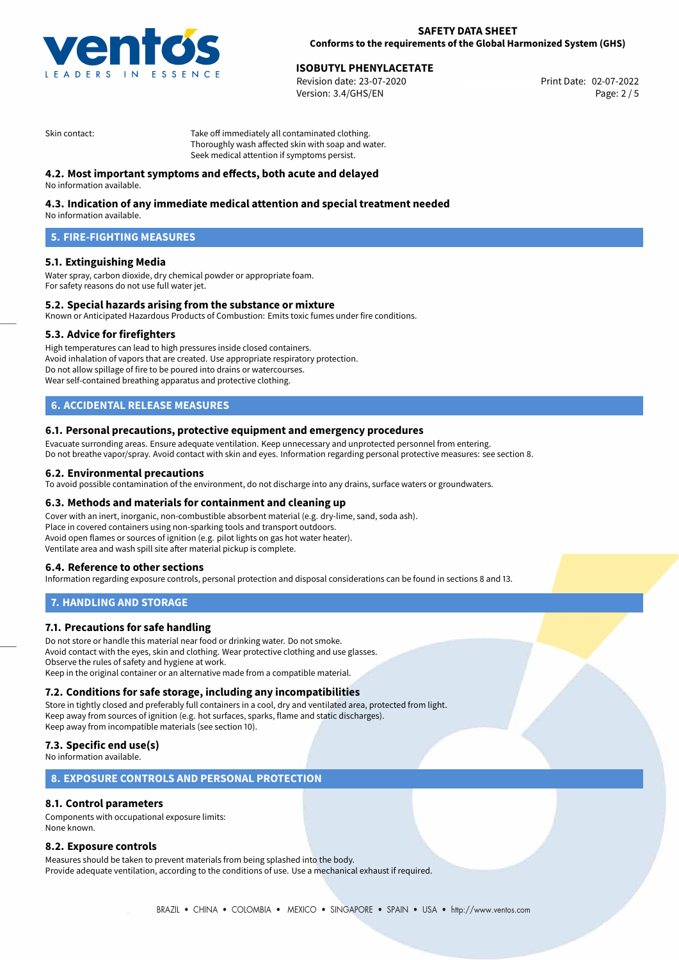

# **ISOBUTYL PHENYLACETATE**<br>
Revision date: 23-07-2020 **Print Date: 02-07-2022**

Version: 3.4/GHS/EN Page: 2 / 5

Skin contact: Take off immediately all contaminated clothing. Thoroughly wash affected skin with soap and water. Seek medical attention if symptoms persist.

# **4.2. Most important symptoms and effects, both acute and delayed**

No information available.

# **4.3. Indication of any immediate medical attention and special treatment needed**

No information available.

# **5. FIRE-FIGHTING MEASURES**

#### **5.1. Extinguishing Media**

Water spray, carbon dioxide, dry chemical powder or appropriate foam. For safety reasons do not use full water jet.

#### **5.2. Special hazards arising from the substance or mixture**

Known or Anticipated Hazardous Products of Combustion: Emits toxic fumes under fire conditions.

#### **5.3. Advice for firefighters**

High temperatures can lead to high pressures inside closed containers. Avoid inhalation of vapors that are created. Use appropriate respiratory protection. Do not allow spillage of fire to be poured into drains or watercourses. Wear self-contained breathing apparatus and protective clothing.

# **6. ACCIDENTAL RELEASE MEASURES**

#### **6.1. Personal precautions, protective equipment and emergency procedures**

Evacuate surronding areas. Ensure adequate ventilation. Keep unnecessary and unprotected personnel from entering. Do not breathe vapor/spray. Avoid contact with skin and eyes. Information regarding personal protective measures: see section 8.

#### **6.2. Environmental precautions**

To avoid possible contamination of the environment, do not discharge into any drains, surface waters or groundwaters.

#### **6.3. Methods and materials for containment and cleaning up**

Cover with an inert, inorganic, non-combustible absorbent material (e.g. dry-lime, sand, soda ash). Place in covered containers using non-sparking tools and transport outdoors. Avoid open flames or sources of ignition (e.g. pilot lights on gas hot water heater). Ventilate area and wash spill site after material pickup is complete.

#### **6.4. Reference to other sections**

Information regarding exposure controls, personal protection and disposal considerations can be found in sections 8 and 13.

#### **7. HANDLING AND STORAGE**

#### **7.1. Precautions for safe handling**

Do not store or handle this material near food or drinking water. Do not smoke. Avoid contact with the eyes, skin and clothing. Wear protective clothing and use glasses. Observe the rules of safety and hygiene at work. Keep in the original container or an alternative made from a compatible material.

#### **7.2. Conditions for safe storage, including any incompatibilities**

Store in tightly closed and preferably full containers in a cool, dry and ventilated area, protected from light. Keep away from sources of ignition (e.g. hot surfaces, sparks, flame and static discharges). Keep away from incompatible materials (see section 10).

## **7.3. Specific end use(s)**

No information available.

### **8. EXPOSURE CONTROLS AND PERSONAL PROTECTION**

# **8.1. Control parameters**

Components with occupational exposure limits: None known.

#### **8.2. Exposure controls**

Measures should be taken to prevent materials from being splashed into the body. Provide adequate ventilation, according to the conditions of use. Use a mechanical exhaust if required.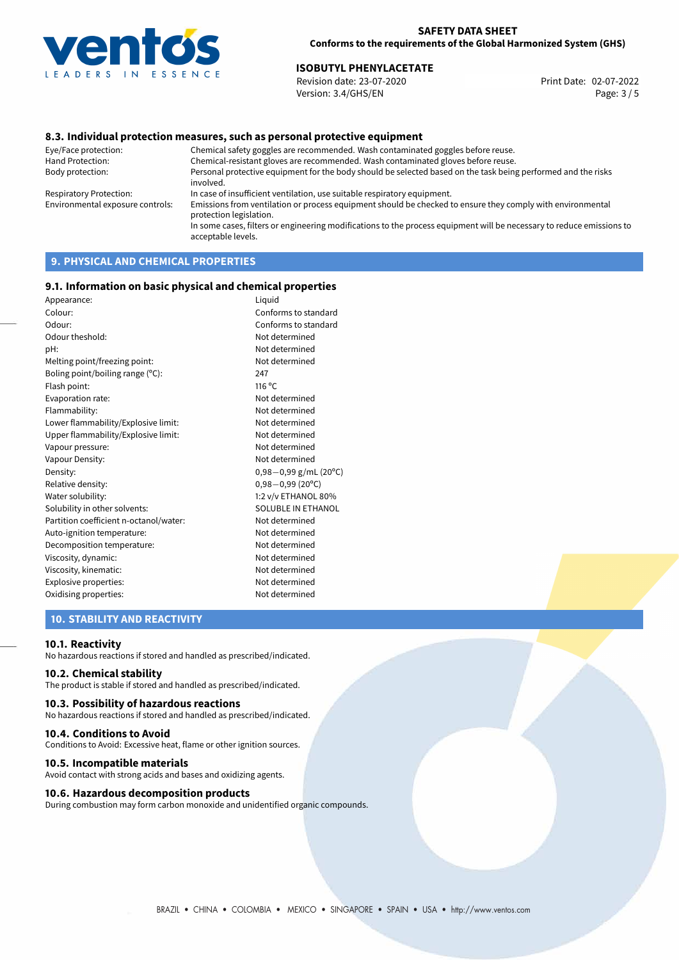

# **ISOBUTYL PHENYLACETATE**<br>
Revision date: 23-07-2020<br> **ISOBUTYL PHENYLACETATE**

Revision date: 23-07-2020 Version: 3.4/GHS/EN Page: 3 / 5

## **8.3. Individual protection measures, such as personal protective equipment**

Eye/Face protection: Chemical safety goggles are recommended. Wash contaminated goggles before reuse. Chemical-resistant gloves are recommended. Wash contaminated gloves before reuse. Body protection: Personal protective equipment for the body should be selected based on the task being performed and the risks involved. Respiratory Protection: In case of insufficient ventilation, use suitable respiratory equipment. Environmental exposure controls: Emissions from ventilation or process equipment should be checked to ensure they comply with environmental protection legislation. In some cases, filters or engineering modifications to the process equipment will be necessary to reduce emissions to acceptable levels.

# **9. PHYSICAL AND CHEMICAL PROPERTIES**

#### **9.1. Information on basic physical and chemical properties**

| Appearance:                            | Liquid                  |
|----------------------------------------|-------------------------|
| Colour:                                | Conforms to standard    |
| Odour:                                 | Conforms to standard    |
| Odour theshold:                        | Not determined          |
| pH:                                    | Not determined          |
| Melting point/freezing point:          | Not determined          |
| Boling point/boiling range (°C):       | 247                     |
| Flash point:                           | 116 °C                  |
| Evaporation rate:                      | Not determined          |
| Flammability:                          | Not determined          |
| Lower flammability/Explosive limit:    | Not determined          |
| Upper flammability/Explosive limit:    | Not determined          |
| Vapour pressure:                       | Not determined          |
| Vapour Density:                        | Not determined          |
| Density:                               | $0,98-0,99$ g/mL (20°C) |
| Relative density:                      | $0,98 - 0,99$ (20°C)    |
| Water solubility:                      | 1:2 v/v ETHANOL 80%     |
| Solubility in other solvents:          | SOLUBLE IN ETHANOL      |
| Partition coefficient n-octanol/water: | Not determined          |
| Auto-ignition temperature:             | Not determined          |
| Decomposition temperature:             | Not determined          |
| Viscosity, dynamic:                    | Not determined          |
| Viscosity, kinematic:                  | Not determined          |
| Explosive properties:                  | Not determined          |
| Oxidising properties:                  | Not determined          |
|                                        |                         |

# **10. STABILITY AND REACTIVITY**

#### **10.1. Reactivity**

No hazardous reactions if stored and handled as prescribed/indicated.

#### **10.2. Chemical stability**

The product is stable if stored and handled as prescribed/indicated.

#### **10.3. Possibility of hazardous reactions**

No hazardous reactions if stored and handled as prescribed/indicated.

#### **10.4. Conditions to Avoid**

Conditions to Avoid: Excessive heat, flame or other ignition sources.

#### **10.5. Incompatible materials**

Avoid contact with strong acids and bases and oxidizing agents.

#### **10.6. Hazardous decomposition products**

During combustion may form carbon monoxide and unidentified organic compounds.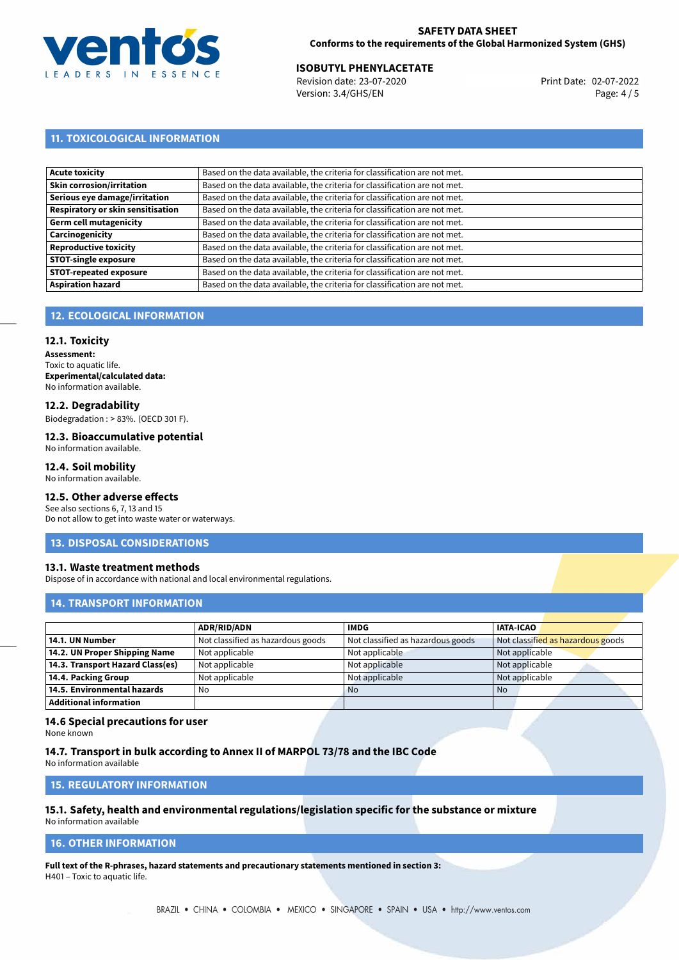

# **ISOBUTYL PHENYLACETATE**<br>
Revision date: 23-07-2020<br> **ISOBUTYL PHENYLACETATE**

Revision date: 23-07-2020 Version: 3.4/GHS/EN Page: 4 / 5

# **11. TOXICOLOGICAL INFORMATION**

| <b>Acute toxicity</b>             | Based on the data available, the criteria for classification are not met. |
|-----------------------------------|---------------------------------------------------------------------------|
| Skin corrosion/irritation         | Based on the data available, the criteria for classification are not met. |
| Serious eye damage/irritation     | Based on the data available, the criteria for classification are not met. |
| Respiratory or skin sensitisation | Based on the data available, the criteria for classification are not met. |
| Germ cell mutagenicity            | Based on the data available, the criteria for classification are not met. |
| Carcinogenicity                   | Based on the data available, the criteria for classification are not met. |
| Reproductive toxicity             | Based on the data available, the criteria for classification are not met. |
| <b>STOT-single exposure</b>       | Based on the data available, the criteria for classification are not met. |
| <b>STOT-repeated exposure</b>     | Based on the data available, the criteria for classification are not met. |
| <b>Aspiration hazard</b>          | Based on the data available, the criteria for classification are not met. |

# **12. ECOLOGICAL INFORMATION**

#### **12.1. Toxicity**

**Assessment:** Toxic to aquatic life. **Experimental/calculated data:** No information available.

#### **12.2. Degradability**

Biodegradation : > 83%. (OECD 301 F).

#### **12.3. Bioaccumulative potential** No information available.

# **12.4. Soil mobility**

No information available.

### **12.5. Other adverse effects**

See also sections 6, 7, 13 and 15 Do not allow to get into waste water or waterways.

#### **13. DISPOSAL CONSIDERATIONS**

#### **13.1. Waste treatment methods**

Dispose of in accordance with national and local environmental regulations.

# **14. TRANSPORT INFORMATION**

|                                  | <b>ADR/RID/ADN</b>                | <b>IMDG</b>                       | <b>IATA-ICAO</b>                  |
|----------------------------------|-----------------------------------|-----------------------------------|-----------------------------------|
| 14.1. UN Number                  | Not classified as hazardous goods | Not classified as hazardous goods | Not classified as hazardous goods |
| 14.2. UN Proper Shipping Name    | Not applicable                    | Not applicable                    | Not applicable                    |
| 14.3. Transport Hazard Class(es) | Not applicable                    | Not applicable                    | Not applicable                    |
| 14.4. Packing Group              | Not applicable                    | Not applicable                    | Not applicable                    |
| 14.5. Environmental hazards      | No                                | <b>No</b>                         | No.                               |
| Additional information           |                                   |                                   |                                   |

# **14.6 Special precautions for user**

None known

# **14.7. Transport in bulk according to Annex II of MARPOL 73/78 and the IBC Code**

No information available

# **15. REGULATORY INFORMATION**

#### **15.1. Safety, health and environmental regulations/legislation specific for the substance or mixture** No information available

#### **16. OTHER INFORMATION**

**Full text of the R-phrases, hazard statements and precautionary statements mentioned in section 3:** H401 – Toxic to aquatic life.